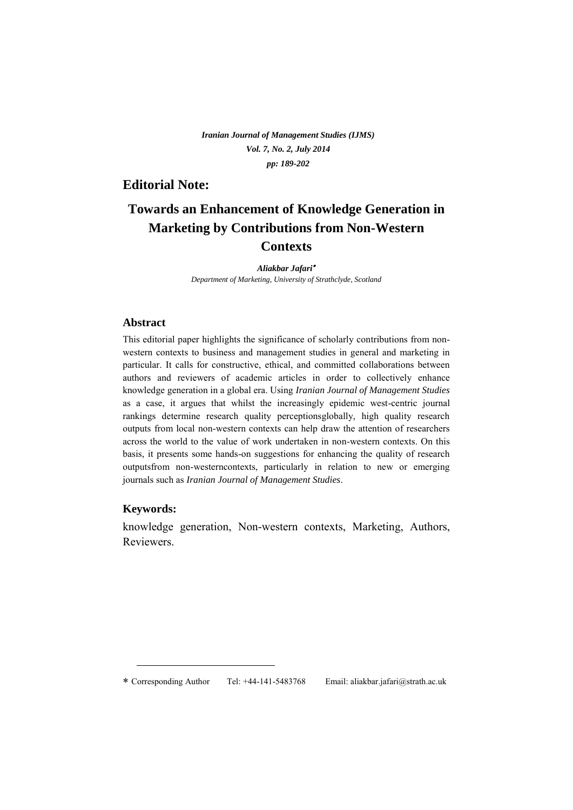*Iranian Journal of Management Studies (IJMS) Vol. 7, No. 2, July 2014 pp: 189-202*

## **Editorial Note:**

# **Towards an Enhancement of Knowledge Generation in Marketing by Contributions from Non-Western Contexts**

*Aliakbar Jafari Department of Marketing, University of Strathclyde, Scotland* 

## **Abstract**

This editorial paper highlights the significance of scholarly contributions from nonwestern contexts to business and management studies in general and marketing in particular. It calls for constructive, ethical, and committed collaborations between authors and reviewers of academic articles in order to collectively enhance knowledge generation in a global era. Using *Iranian Journal of Management Studies* as a case, it argues that whilst the increasingly epidemic west-centric journal rankings determine research quality perceptionsglobally, high quality research outputs from local non-western contexts can help draw the attention of researchers across the world to the value of work undertaken in non-western contexts. On this basis, it presents some hands-on suggestions for enhancing the quality of research outputsfrom non-westerncontexts, particularly in relation to new or emerging journals such as *Iranian Journal of Management Studies*.

## **Keywords:**

<u>.</u>

knowledge generation, Non-western contexts, Marketing, Authors, Reviewers.

Corresponding Author Tel: +44-141-5483768 Email: aliakbar.jafari@strath.ac.uk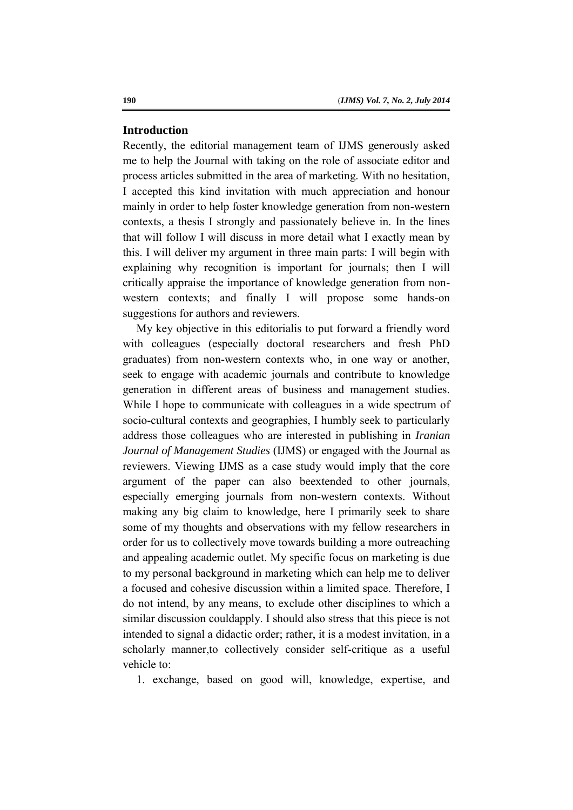#### **Introduction**

Recently, the editorial management team of IJMS generously asked me to help the Journal with taking on the role of associate editor and process articles submitted in the area of marketing. With no hesitation, I accepted this kind invitation with much appreciation and honour mainly in order to help foster knowledge generation from non-western contexts, a thesis I strongly and passionately believe in. In the lines that will follow I will discuss in more detail what I exactly mean by this. I will deliver my argument in three main parts: I will begin with explaining why recognition is important for journals; then I will critically appraise the importance of knowledge generation from nonwestern contexts; and finally I will propose some hands-on suggestions for authors and reviewers.

My key objective in this editorialis to put forward a friendly word with colleagues (especially doctoral researchers and fresh PhD graduates) from non-western contexts who, in one way or another, seek to engage with academic journals and contribute to knowledge generation in different areas of business and management studies. While I hope to communicate with colleagues in a wide spectrum of socio-cultural contexts and geographies, I humbly seek to particularly address those colleagues who are interested in publishing in *Iranian Journal of Management Studies* (IJMS) or engaged with the Journal as reviewers. Viewing IJMS as a case study would imply that the core argument of the paper can also beextended to other journals, especially emerging journals from non-western contexts. Without making any big claim to knowledge, here I primarily seek to share some of my thoughts and observations with my fellow researchers in order for us to collectively move towards building a more outreaching and appealing academic outlet. My specific focus on marketing is due to my personal background in marketing which can help me to deliver a focused and cohesive discussion within a limited space. Therefore, I do not intend, by any means, to exclude other disciplines to which a similar discussion couldapply. I should also stress that this piece is not intended to signal a didactic order; rather, it is a modest invitation, in a scholarly manner,to collectively consider self-critique as a useful vehicle to:

1. exchange, based on good will, knowledge, expertise, and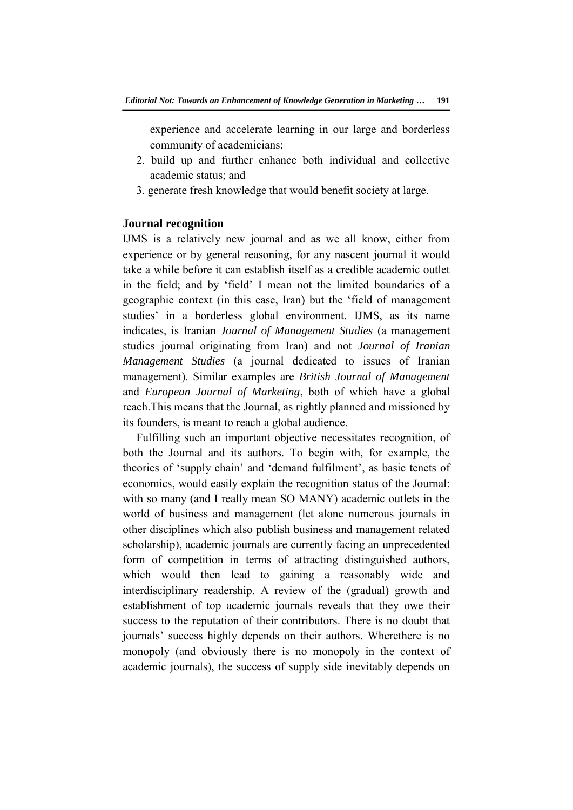experience and accelerate learning in our large and borderless community of academicians;

- 2. build up and further enhance both individual and collective academic status; and
- 3. generate fresh knowledge that would benefit society at large.

#### **Journal recognition**

IJMS is a relatively new journal and as we all know, either from experience or by general reasoning, for any nascent journal it would take a while before it can establish itself as a credible academic outlet in the field; and by 'field' I mean not the limited boundaries of a geographic context (in this case, Iran) but the 'field of management studies' in a borderless global environment. IJMS, as its name indicates, is Iranian *Journal of Management Studies* (a management studies journal originating from Iran) and not *Journal of Iranian Management Studies* (a journal dedicated to issues of Iranian management). Similar examples are *British Journal of Management* and *European Journal of Marketing*, both of which have a global reach.This means that the Journal, as rightly planned and missioned by its founders, is meant to reach a global audience.

Fulfilling such an important objective necessitates recognition, of both the Journal and its authors. To begin with, for example, the theories of 'supply chain' and 'demand fulfilment', as basic tenets of economics, would easily explain the recognition status of the Journal: with so many (and I really mean SO MANY) academic outlets in the world of business and management (let alone numerous journals in other disciplines which also publish business and management related scholarship), academic journals are currently facing an unprecedented form of competition in terms of attracting distinguished authors, which would then lead to gaining a reasonably wide and interdisciplinary readership. A review of the (gradual) growth and establishment of top academic journals reveals that they owe their success to the reputation of their contributors. There is no doubt that journals' success highly depends on their authors. Wherethere is no monopoly (and obviously there is no monopoly in the context of academic journals), the success of supply side inevitably depends on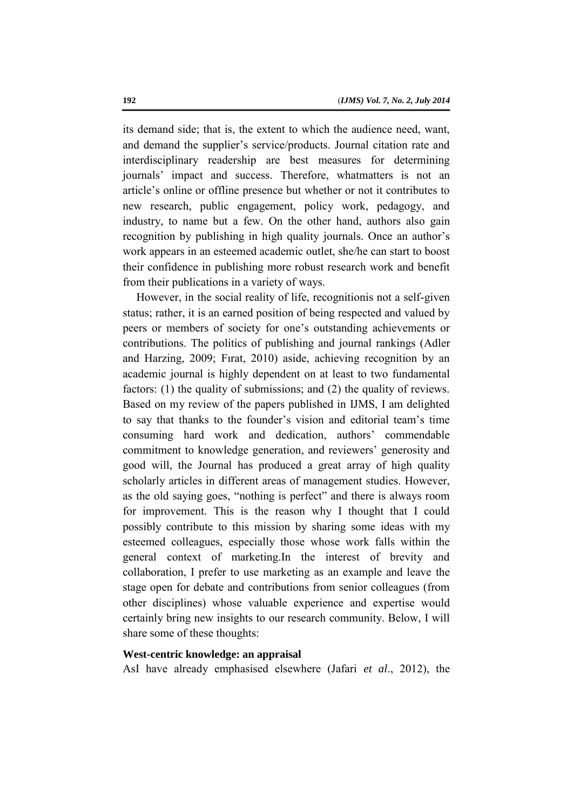its demand side; that is, the extent to which the audience need, want, and demand the supplier's service/products. Journal citation rate and interdisciplinary readership are best measures for determining journals' impact and success. Therefore, whatmatters is not an article's online or offline presence but whether or not it contributes to new research, public engagement, policy work, pedagogy, and industry, to name but a few. On the other hand, authors also gain recognition by publishing in high quality journals. Once an author's work appears in an esteemed academic outlet, she/he can start to boost their confidence in publishing more robust research work and benefit from their publications in a variety of ways.

However, in the social reality of life, recognitionis not a self-given status; rather, it is an earned position of being respected and valued by peers or members of society for one's outstanding achievements or contributions. The politics of publishing and journal rankings (Adler and Harzing, 2009; Fırat, 2010) aside, achieving recognition by an academic journal is highly dependent on at least to two fundamental factors: (1) the quality of submissions; and (2) the quality of reviews. Based on my review of the papers published in IJMS, I am delighted to say that thanks to the founder's vision and editorial team's time consuming hard work and dedication, authors' commendable commitment to knowledge generation, and reviewers' generosity and good will, the Journal has produced a great array of high quality scholarly articles in different areas of management studies. However, as the old saying goes, "nothing is perfect" and there is always room for improvement. This is the reason why I thought that I could possibly contribute to this mission by sharing some ideas with my esteemed colleagues, especially those whose work falls within the general context of marketing.In the interest of brevity and collaboration, I prefer to use marketing as an example and leave the stage open for debate and contributions from senior colleagues (from other disciplines) whose valuable experience and expertise would certainly bring new insights to our research community. Below, I will share some of these thoughts:

## **West-centric knowledge: an appraisal**

AsI have already emphasised elsewhere (Jafari *et al*., 2012), the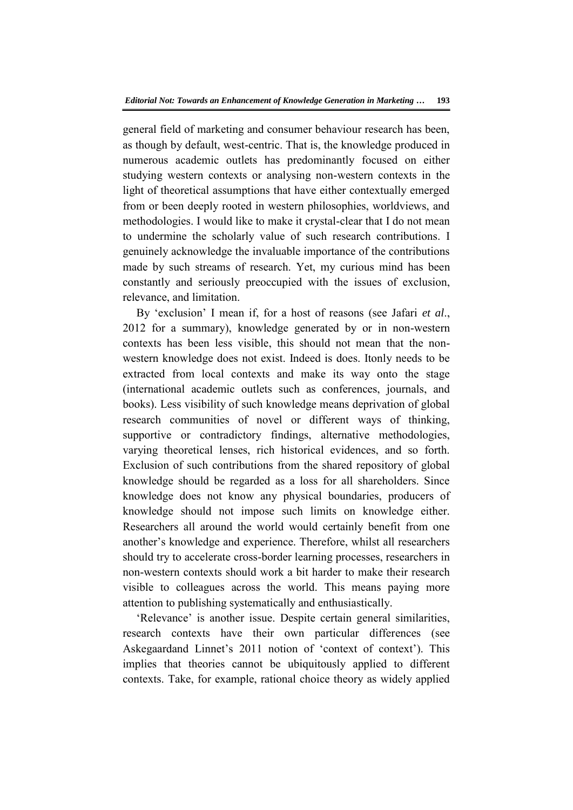general field of marketing and consumer behaviour research has been, as though by default, west-centric. That is, the knowledge produced in numerous academic outlets has predominantly focused on either studying western contexts or analysing non-western contexts in the light of theoretical assumptions that have either contextually emerged from or been deeply rooted in western philosophies, worldviews, and methodologies. I would like to make it crystal-clear that I do not mean to undermine the scholarly value of such research contributions. I genuinely acknowledge the invaluable importance of the contributions made by such streams of research. Yet, my curious mind has been constantly and seriously preoccupied with the issues of exclusion, relevance, and limitation.

By 'exclusion' I mean if, for a host of reasons (see Jafari *et al*., 2012 for a summary), knowledge generated by or in non-western contexts has been less visible, this should not mean that the nonwestern knowledge does not exist. Indeed is does. Itonly needs to be extracted from local contexts and make its way onto the stage (international academic outlets such as conferences, journals, and books). Less visibility of such knowledge means deprivation of global research communities of novel or different ways of thinking, supportive or contradictory findings, alternative methodologies, varying theoretical lenses, rich historical evidences, and so forth. Exclusion of such contributions from the shared repository of global knowledge should be regarded as a loss for all shareholders. Since knowledge does not know any physical boundaries, producers of knowledge should not impose such limits on knowledge either. Researchers all around the world would certainly benefit from one another's knowledge and experience. Therefore, whilst all researchers should try to accelerate cross-border learning processes, researchers in non-western contexts should work a bit harder to make their research visible to colleagues across the world. This means paying more attention to publishing systematically and enthusiastically.

'Relevance' is another issue. Despite certain general similarities, research contexts have their own particular differences (see Askegaardand Linnet's 2011 notion of 'context of context'). This implies that theories cannot be ubiquitously applied to different contexts. Take, for example, rational choice theory as widely applied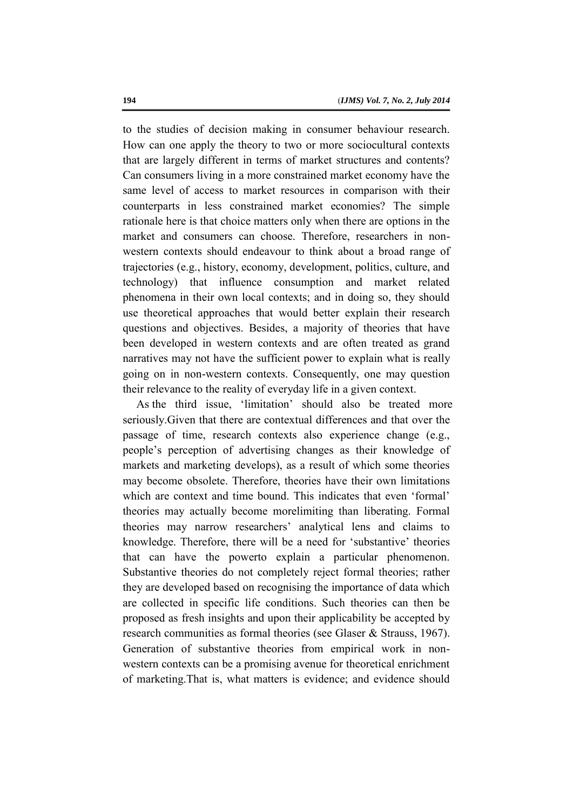to the studies of decision making in consumer behaviour research. How can one apply the theory to two or more sociocultural contexts that are largely different in terms of market structures and contents? Can consumers living in a more constrained market economy have the same level of access to market resources in comparison with their counterparts in less constrained market economies? The simple rationale here is that choice matters only when there are options in the market and consumers can choose. Therefore, researchers in nonwestern contexts should endeavour to think about a broad range of trajectories (e.g., history, economy, development, politics, culture, and technology) that influence consumption and market related phenomena in their own local contexts; and in doing so, they should use theoretical approaches that would better explain their research questions and objectives. Besides, a majority of theories that have been developed in western contexts and are often treated as grand narratives may not have the sufficient power to explain what is really going on in non-western contexts. Consequently, one may question their relevance to the reality of everyday life in a given context.

As the third issue, 'limitation' should also be treated more seriously.Given that there are contextual differences and that over the passage of time, research contexts also experience change (e.g., people's perception of advertising changes as their knowledge of markets and marketing develops), as a result of which some theories may become obsolete. Therefore, theories have their own limitations which are context and time bound. This indicates that even 'formal' theories may actually become morelimiting than liberating. Formal theories may narrow researchers' analytical lens and claims to knowledge. Therefore, there will be a need for 'substantive' theories that can have the powerto explain a particular phenomenon. Substantive theories do not completely reject formal theories; rather they are developed based on recognising the importance of data which are collected in specific life conditions. Such theories can then be proposed as fresh insights and upon their applicability be accepted by research communities as formal theories (see Glaser & Strauss, 1967). Generation of substantive theories from empirical work in nonwestern contexts can be a promising avenue for theoretical enrichment of marketing.That is, what matters is evidence; and evidence should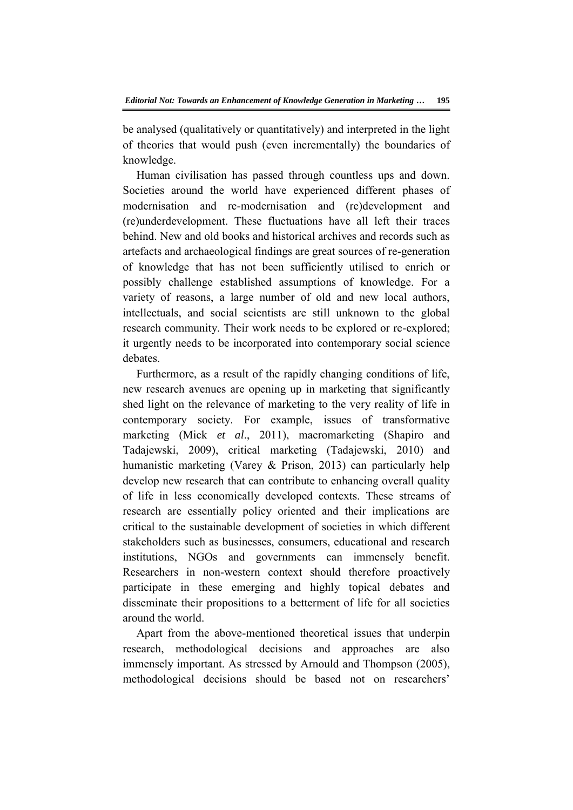be analysed (qualitatively or quantitatively) and interpreted in the light of theories that would push (even incrementally) the boundaries of knowledge.

Human civilisation has passed through countless ups and down. Societies around the world have experienced different phases of modernisation and re-modernisation and (re)development and (re)underdevelopment. These fluctuations have all left their traces behind. New and old books and historical archives and records such as artefacts and archaeological findings are great sources of re-generation of knowledge that has not been sufficiently utilised to enrich or possibly challenge established assumptions of knowledge. For a variety of reasons, a large number of old and new local authors, intellectuals, and social scientists are still unknown to the global research community. Their work needs to be explored or re-explored; it urgently needs to be incorporated into contemporary social science debates.

Furthermore, as a result of the rapidly changing conditions of life, new research avenues are opening up in marketing that significantly shed light on the relevance of marketing to the very reality of life in contemporary society. For example, issues of transformative marketing (Mick *et al*., 2011), macromarketing (Shapiro and Tadajewski, 2009), critical marketing (Tadajewski, 2010) and humanistic marketing (Varey & Prison, 2013) can particularly help develop new research that can contribute to enhancing overall quality of life in less economically developed contexts. These streams of research are essentially policy oriented and their implications are critical to the sustainable development of societies in which different stakeholders such as businesses, consumers, educational and research institutions, NGOs and governments can immensely benefit. Researchers in non-western context should therefore proactively participate in these emerging and highly topical debates and disseminate their propositions to a betterment of life for all societies around the world.

Apart from the above-mentioned theoretical issues that underpin research, methodological decisions and approaches are also immensely important. As stressed by Arnould and Thompson (2005), methodological decisions should be based not on researchers'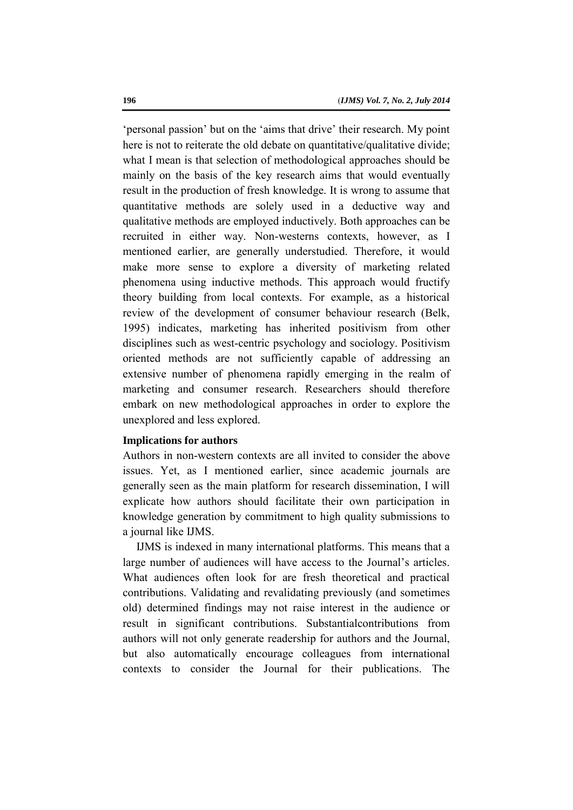'personal passion' but on the 'aims that drive' their research. My point here is not to reiterate the old debate on quantitative/qualitative divide; what I mean is that selection of methodological approaches should be mainly on the basis of the key research aims that would eventually result in the production of fresh knowledge. It is wrong to assume that quantitative methods are solely used in a deductive way and qualitative methods are employed inductively. Both approaches can be recruited in either way. Non-westerns contexts, however, as I mentioned earlier, are generally understudied. Therefore, it would make more sense to explore a diversity of marketing related phenomena using inductive methods. This approach would fructify theory building from local contexts. For example, as a historical review of the development of consumer behaviour research (Belk, 1995) indicates, marketing has inherited positivism from other disciplines such as west-centric psychology and sociology. Positivism oriented methods are not sufficiently capable of addressing an extensive number of phenomena rapidly emerging in the realm of marketing and consumer research. Researchers should therefore embark on new methodological approaches in order to explore the unexplored and less explored.

## **Implications for authors**

Authors in non-western contexts are all invited to consider the above issues. Yet, as I mentioned earlier, since academic journals are generally seen as the main platform for research dissemination, I will explicate how authors should facilitate their own participation in knowledge generation by commitment to high quality submissions to a journal like IJMS.

IJMS is indexed in many international platforms. This means that a large number of audiences will have access to the Journal's articles. What audiences often look for are fresh theoretical and practical contributions. Validating and revalidating previously (and sometimes old) determined findings may not raise interest in the audience or result in significant contributions. Substantialcontributions from authors will not only generate readership for authors and the Journal, but also automatically encourage colleagues from international contexts to consider the Journal for their publications. The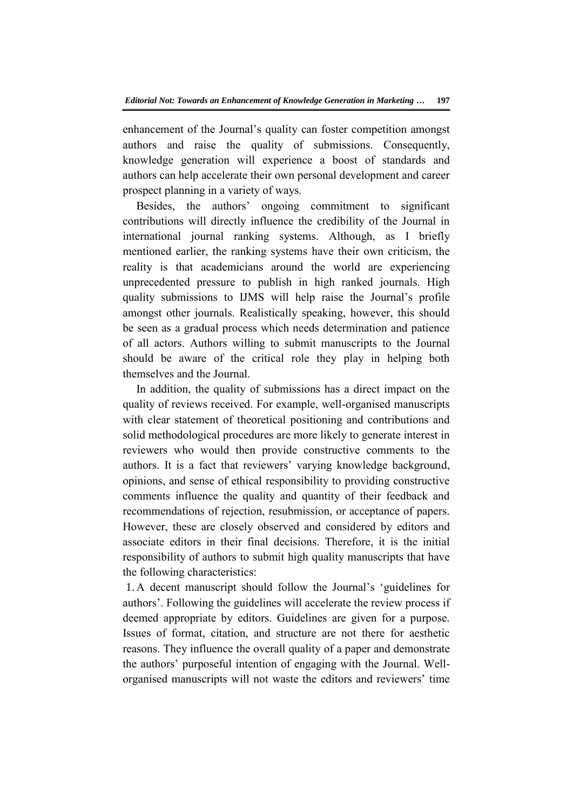enhancement of the Journal's quality can foster competition amongst authors and raise the quality of submissions. Consequently, knowledge generation will experience a boost of standards and authors can help accelerate their own personal development and career prospect planning in a variety of ways.

Besides, the authors' ongoing commitment to significant contributions will directly influence the credibility of the Journal in international journal ranking systems. Although, as I briefly mentioned earlier, the ranking systems have their own criticism, the reality is that academicians around the world are experiencing unprecedented pressure to publish in high ranked journals. High quality submissions to IJMS will help raise the Journal's profile amongst other journals. Realistically speaking, however, this should be seen as a gradual process which needs determination and patience of all actors. Authors willing to submit manuscripts to the Journal should be aware of the critical role they play in helping both themselves and the Journal.

In addition, the quality of submissions has a direct impact on the quality of reviews received. For example, well-organised manuscripts with clear statement of theoretical positioning and contributions and solid methodological procedures are more likely to generate interest in reviewers who would then provide constructive comments to the authors. It is a fact that reviewers' varying knowledge background, opinions, and sense of ethical responsibility to providing constructive comments influence the quality and quantity of their feedback and recommendations of rejection, resubmission, or acceptance of papers. However, these are closely observed and considered by editors and associate editors in their final decisions. Therefore, it is the initial responsibility of authors to submit high quality manuscripts that have the following characteristics:

1. A decent manuscript should follow the Journal's 'guidelines for authors'. Following the guidelines will accelerate the review process if deemed appropriate by editors. Guidelines are given for a purpose. Issues of format, citation, and structure are not there for aesthetic reasons. They influence the overall quality of a paper and demonstrate the authors' purposeful intention of engaging with the Journal. Wellorganised manuscripts will not waste the editors and reviewers' time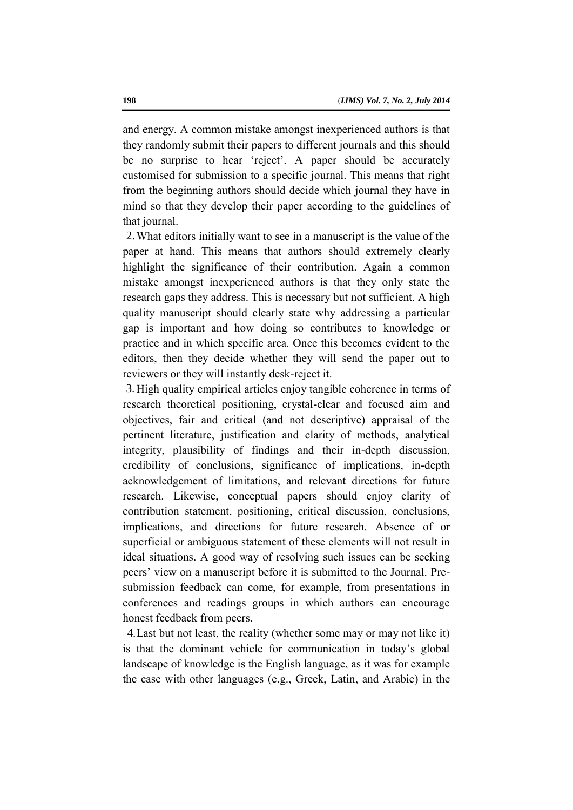and energy. A common mistake amongst inexperienced authors is that they randomly submit their papers to different journals and this should be no surprise to hear 'reject'. A paper should be accurately customised for submission to a specific journal. This means that right from the beginning authors should decide which journal they have in mind so that they develop their paper according to the guidelines of that journal.

What editors initially want to see in a manuscript is the value of the 2. paper at hand. This means that authors should extremely clearly highlight the significance of their contribution. Again a common mistake amongst inexperienced authors is that they only state the research gaps they address. This is necessary but not sufficient. A high quality manuscript should clearly state why addressing a particular gap is important and how doing so contributes to knowledge or practice and in which specific area. Once this becomes evident to the editors, then they decide whether they will send the paper out to reviewers or they will instantly desk-reject it.

3. High quality empirical articles enjoy tangible coherence in terms of research theoretical positioning, crystal-clear and focused aim and objectives, fair and critical (and not descriptive) appraisal of the pertinent literature, justification and clarity of methods, analytical integrity, plausibility of findings and their in-depth discussion, credibility of conclusions, significance of implications, in-depth acknowledgement of limitations, and relevant directions for future research. Likewise, conceptual papers should enjoy clarity of contribution statement, positioning, critical discussion, conclusions, implications, and directions for future research. Absence of or superficial or ambiguous statement of these elements will not result in ideal situations. A good way of resolving such issues can be seeking peers' view on a manuscript before it is submitted to the Journal. Presubmission feedback can come, for example, from presentations in conferences and readings groups in which authors can encourage honest feedback from peers.

Last but not least, the reality (whether some may or may not like it) 4.is that the dominant vehicle for communication in today's global landscape of knowledge is the English language, as it was for example the case with other languages (e.g., Greek, Latin, and Arabic) in the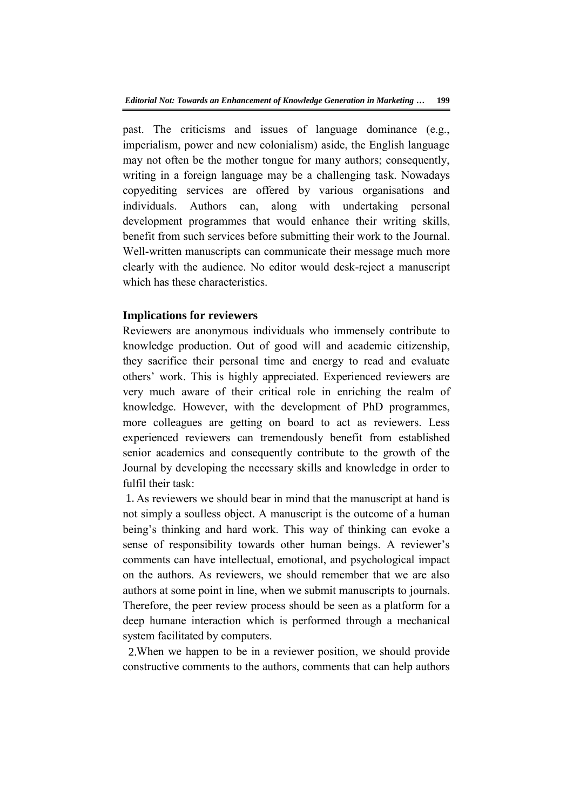past. The criticisms and issues of language dominance (e.g., imperialism, power and new colonialism) aside, the English language may not often be the mother tongue for many authors; consequently, writing in a foreign language may be a challenging task. Nowadays copyediting services are offered by various organisations and individuals. Authors can, along with undertaking personal development programmes that would enhance their writing skills, benefit from such services before submitting their work to the Journal. Well-written manuscripts can communicate their message much more clearly with the audience. No editor would desk-reject a manuscript which has these characteristics.

## **Implications for reviewers**

Reviewers are anonymous individuals who immensely contribute to knowledge production. Out of good will and academic citizenship, they sacrifice their personal time and energy to read and evaluate others' work. This is highly appreciated. Experienced reviewers are very much aware of their critical role in enriching the realm of knowledge. However, with the development of PhD programmes, more colleagues are getting on board to act as reviewers. Less experienced reviewers can tremendously benefit from established senior academics and consequently contribute to the growth of the Journal by developing the necessary skills and knowledge in order to fulfil their task:

As reviewers we should bear in mind that the manuscript at hand is 1. not simply a soulless object. A manuscript is the outcome of a human being's thinking and hard work. This way of thinking can evoke a sense of responsibility towards other human beings. A reviewer's comments can have intellectual, emotional, and psychological impact on the authors. As reviewers, we should remember that we are also authors at some point in line, when we submit manuscripts to journals. Therefore, the peer review process should be seen as a platform for a deep humane interaction which is performed through a mechanical system facilitated by computers.

2. When we happen to be in a reviewer position, we should provide constructive comments to the authors, comments that can help authors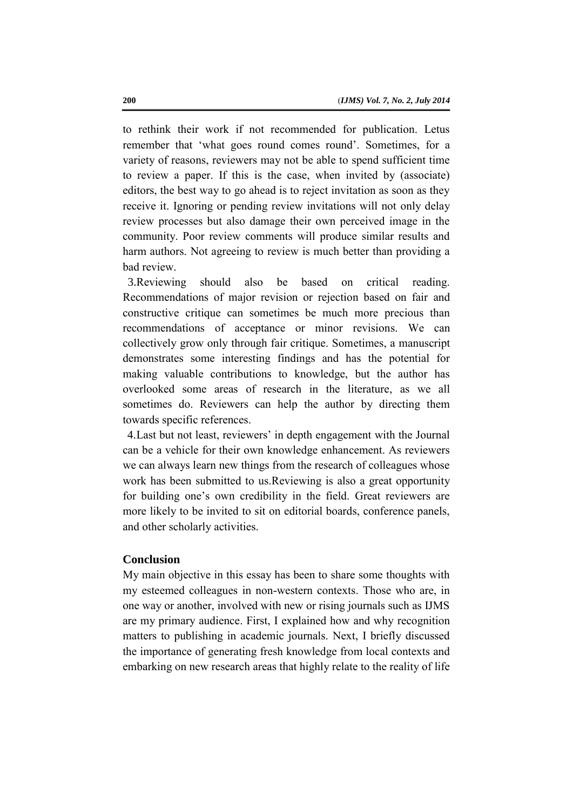to rethink their work if not recommended for publication. Letus remember that 'what goes round comes round'. Sometimes, for a variety of reasons, reviewers may not be able to spend sufficient time to review a paper. If this is the case, when invited by (associate) editors, the best way to go ahead is to reject invitation as soon as they receive it. Ignoring or pending review invitations will not only delay review processes but also damage their own perceived image in the community. Poor review comments will produce similar results and harm authors. Not agreeing to review is much better than providing a bad review.

3. Reviewing should also be based on critical reading. Recommendations of major revision or rejection based on fair and constructive critique can sometimes be much more precious than recommendations of acceptance or minor revisions. We can collectively grow only through fair critique. Sometimes, a manuscript demonstrates some interesting findings and has the potential for making valuable contributions to knowledge, but the author has overlooked some areas of research in the literature, as we all sometimes do. Reviewers can help the author by directing them towards specific references.

Last but not least, reviewers' in depth engagement with the Journal 4.can be a vehicle for their own knowledge enhancement. As reviewers we can always learn new things from the research of colleagues whose work has been submitted to us.Reviewing is also a great opportunity for building one's own credibility in the field. Great reviewers are more likely to be invited to sit on editorial boards, conference panels, and other scholarly activities.

#### **Conclusion**

My main objective in this essay has been to share some thoughts with my esteemed colleagues in non-western contexts. Those who are, in one way or another, involved with new or rising journals such as IJMS are my primary audience. First, I explained how and why recognition matters to publishing in academic journals. Next, I briefly discussed the importance of generating fresh knowledge from local contexts and embarking on new research areas that highly relate to the reality of life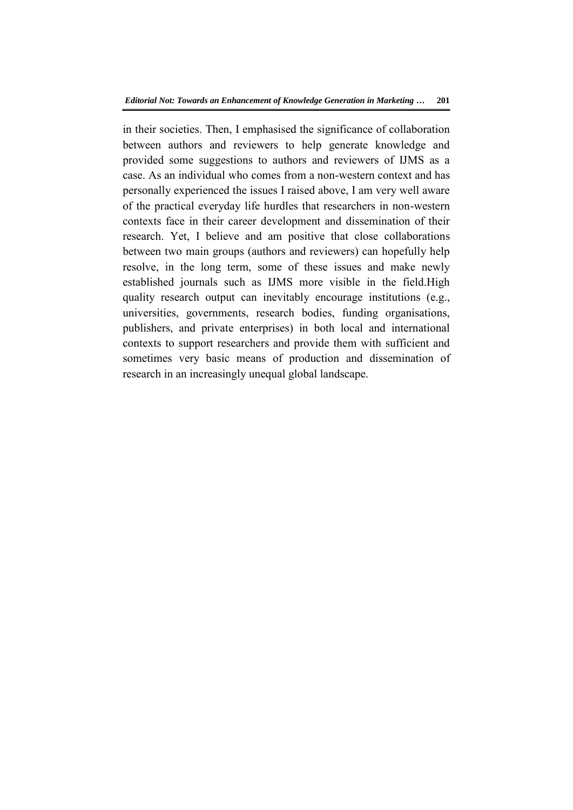in their societies. Then, I emphasised the significance of collaboration between authors and reviewers to help generate knowledge and provided some suggestions to authors and reviewers of IJMS as a case. As an individual who comes from a non-western context and has personally experienced the issues I raised above, I am very well aware of the practical everyday life hurdles that researchers in non-western contexts face in their career development and dissemination of their research. Yet, I believe and am positive that close collaborations between two main groups (authors and reviewers) can hopefully help resolve, in the long term, some of these issues and make newly established journals such as IJMS more visible in the field.High quality research output can inevitably encourage institutions (e.g., universities, governments, research bodies, funding organisations, publishers, and private enterprises) in both local and international contexts to support researchers and provide them with sufficient and sometimes very basic means of production and dissemination of research in an increasingly unequal global landscape.